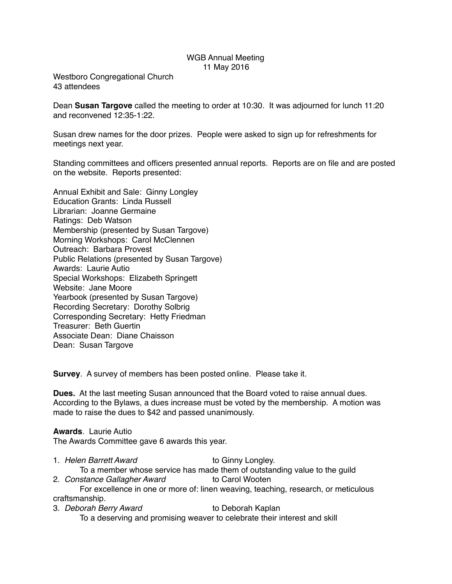# WGB Annual Meeting 11 May 2016

Westboro Congregational Church 43 attendees

Dean **Susan Targove** called the meeting to order at 10:30. It was adjourned for lunch 11:20 and reconvened 12:35-1:22.

Susan drew names for the door prizes. People were asked to sign up for refreshments for meetings next year.

Standing committees and officers presented annual reports. Reports are on file and are posted on the website. Reports presented:

Annual Exhibit and Sale: Ginny Longley Education Grants: Linda Russell Librarian: Joanne Germaine Ratings: Deb Watson Membership (presented by Susan Targove) Morning Workshops: Carol McClennen Outreach: Barbara Provest Public Relations (presented by Susan Targove) Awards: Laurie Autio Special Workshops: Elizabeth Springett Website: Jane Moore Yearbook (presented by Susan Targove) Recording Secretary: Dorothy Solbrig Corresponding Secretary: Hetty Friedman Treasurer: Beth Guertin Associate Dean: Diane Chaisson Dean: Susan Targove

**Survey**. A survey of members has been posted online. Please take it.

**Dues.** At the last meeting Susan announced that the Board voted to raise annual dues. According to the Bylaws, a dues increase must be voted by the membership. A motion was made to raise the dues to \$42 and passed unanimously.

**Awards**. Laurie Autio The Awards Committee gave 6 awards this year.

1. *Helen Barrett Award* to Ginny Longley.

To a member whose service has made them of outstanding value to the guild

2. Constance Gallagher Award **to Carol Wooten** 

 For excellence in one or more of: linen weaving, teaching, research, or meticulous craftsmanship.

3. *Deborah Berry Award* to Deborah Kaplan

To a deserving and promising weaver to celebrate their interest and skill